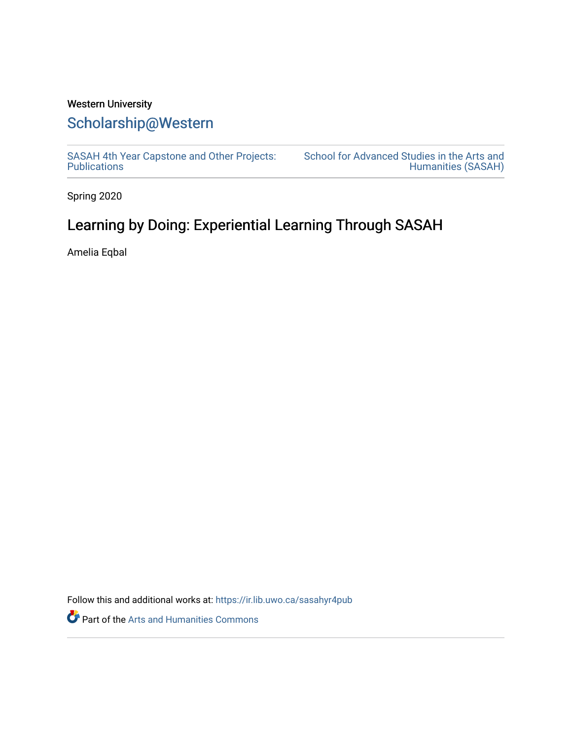## Western University [Scholarship@Western](https://ir.lib.uwo.ca/)

[SASAH 4th Year Capstone and Other Projects:](https://ir.lib.uwo.ca/sasahyr4pub)  **Publications** 

[School for Advanced Studies in the Arts and](https://ir.lib.uwo.ca/sasah)  [Humanities \(SASAH\)](https://ir.lib.uwo.ca/sasah) 

Spring 2020

## Learning by Doing: Experiential Learning Through SASAH

Amelia Eqbal

Follow this and additional works at: [https://ir.lib.uwo.ca/sasahyr4pub](https://ir.lib.uwo.ca/sasahyr4pub?utm_source=ir.lib.uwo.ca%2Fsasahyr4pub%2F9&utm_medium=PDF&utm_campaign=PDFCoverPages) 

Part of the [Arts and Humanities Commons](http://network.bepress.com/hgg/discipline/438?utm_source=ir.lib.uwo.ca%2Fsasahyr4pub%2F9&utm_medium=PDF&utm_campaign=PDFCoverPages)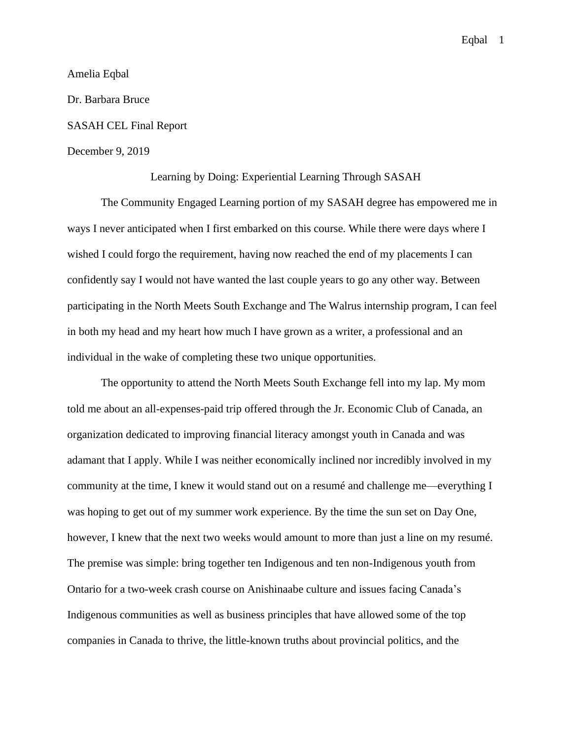Amelia Eqbal Dr. Barbara Bruce SASAH CEL Final Report December 9, 2019

## Learning by Doing: Experiential Learning Through SASAH

The Community Engaged Learning portion of my SASAH degree has empowered me in ways I never anticipated when I first embarked on this course. While there were days where I wished I could forgo the requirement, having now reached the end of my placements I can confidently say I would not have wanted the last couple years to go any other way. Between participating in the North Meets South Exchange and The Walrus internship program, I can feel in both my head and my heart how much I have grown as a writer, a professional and an individual in the wake of completing these two unique opportunities.

The opportunity to attend the North Meets South Exchange fell into my lap. My mom told me about an all-expenses-paid trip offered through the Jr. Economic Club of Canada, an organization dedicated to improving financial literacy amongst youth in Canada and was adamant that I apply. While I was neither economically inclined nor incredibly involved in my community at the time, I knew it would stand out on a resumé and challenge me—everything I was hoping to get out of my summer work experience. By the time the sun set on Day One, however, I knew that the next two weeks would amount to more than just a line on my resumé. The premise was simple: bring together ten Indigenous and ten non-Indigenous youth from Ontario for a two-week crash course on Anishinaabe culture and issues facing Canada's Indigenous communities as well as business principles that have allowed some of the top companies in Canada to thrive, the little-known truths about provincial politics, and the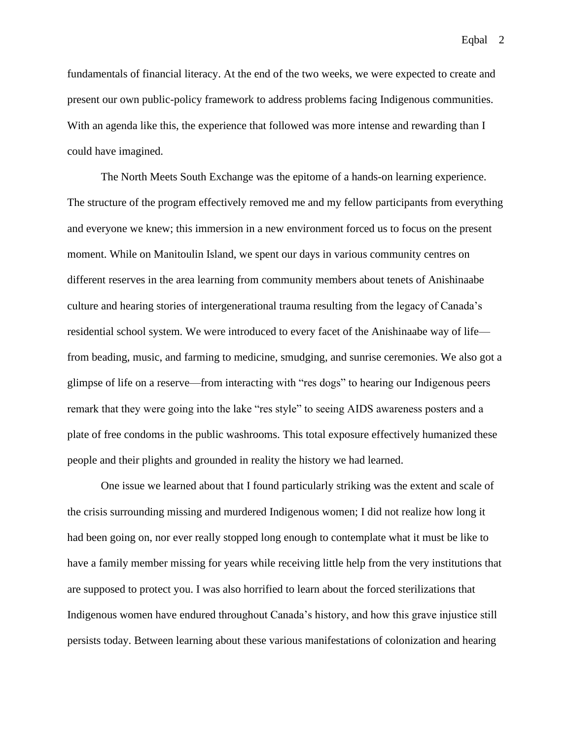fundamentals of financial literacy. At the end of the two weeks, we were expected to create and present our own public-policy framework to address problems facing Indigenous communities. With an agenda like this, the experience that followed was more intense and rewarding than I could have imagined.

The North Meets South Exchange was the epitome of a hands-on learning experience. The structure of the program effectively removed me and my fellow participants from everything and everyone we knew; this immersion in a new environment forced us to focus on the present moment. While on Manitoulin Island, we spent our days in various community centres on different reserves in the area learning from community members about tenets of Anishinaabe culture and hearing stories of intergenerational trauma resulting from the legacy of Canada's residential school system. We were introduced to every facet of the Anishinaabe way of life from beading, music, and farming to medicine, smudging, and sunrise ceremonies. We also got a glimpse of life on a reserve—from interacting with "res dogs" to hearing our Indigenous peers remark that they were going into the lake "res style" to seeing AIDS awareness posters and a plate of free condoms in the public washrooms. This total exposure effectively humanized these people and their plights and grounded in reality the history we had learned.

One issue we learned about that I found particularly striking was the extent and scale of the crisis surrounding missing and murdered Indigenous women; I did not realize how long it had been going on, nor ever really stopped long enough to contemplate what it must be like to have a family member missing for years while receiving little help from the very institutions that are supposed to protect you. I was also horrified to learn about the forced sterilizations that Indigenous women have endured throughout Canada's history, and how this grave injustice still persists today. Between learning about these various manifestations of colonization and hearing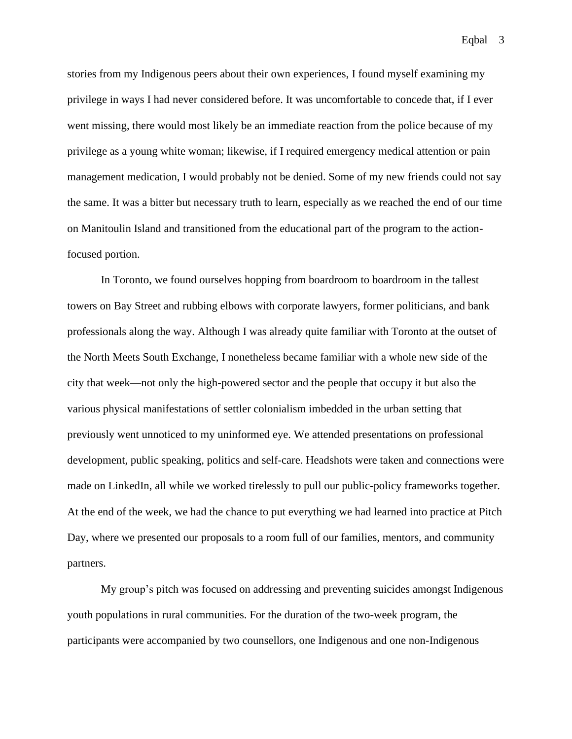stories from my Indigenous peers about their own experiences, I found myself examining my privilege in ways I had never considered before. It was uncomfortable to concede that, if I ever went missing, there would most likely be an immediate reaction from the police because of my privilege as a young white woman; likewise, if I required emergency medical attention or pain management medication, I would probably not be denied. Some of my new friends could not say the same. It was a bitter but necessary truth to learn, especially as we reached the end of our time on Manitoulin Island and transitioned from the educational part of the program to the actionfocused portion.

In Toronto, we found ourselves hopping from boardroom to boardroom in the tallest towers on Bay Street and rubbing elbows with corporate lawyers, former politicians, and bank professionals along the way. Although I was already quite familiar with Toronto at the outset of the North Meets South Exchange, I nonetheless became familiar with a whole new side of the city that week—not only the high-powered sector and the people that occupy it but also the various physical manifestations of settler colonialism imbedded in the urban setting that previously went unnoticed to my uninformed eye. We attended presentations on professional development, public speaking, politics and self-care. Headshots were taken and connections were made on LinkedIn, all while we worked tirelessly to pull our public-policy frameworks together. At the end of the week, we had the chance to put everything we had learned into practice at Pitch Day, where we presented our proposals to a room full of our families, mentors, and community partners.

My group's pitch was focused on addressing and preventing suicides amongst Indigenous youth populations in rural communities. For the duration of the two-week program, the participants were accompanied by two counsellors, one Indigenous and one non-Indigenous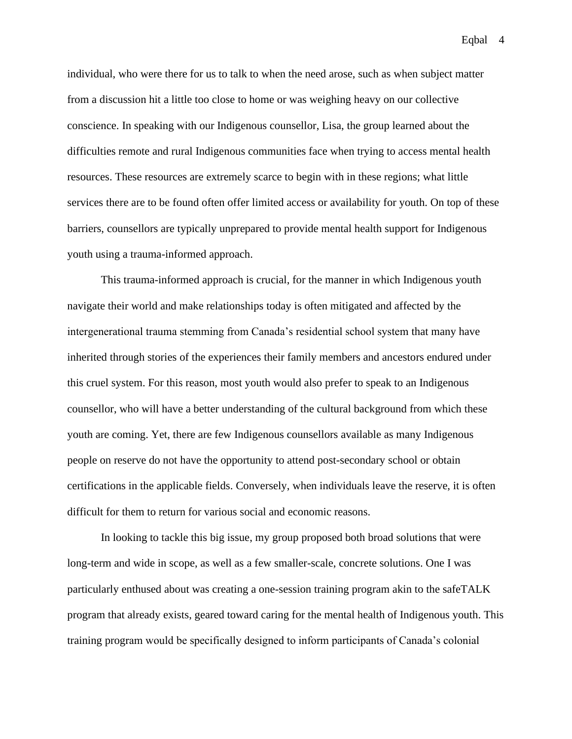individual, who were there for us to talk to when the need arose, such as when subject matter from a discussion hit a little too close to home or was weighing heavy on our collective conscience. In speaking with our Indigenous counsellor, Lisa, the group learned about the difficulties remote and rural Indigenous communities face when trying to access mental health resources. These resources are extremely scarce to begin with in these regions; what little services there are to be found often offer limited access or availability for youth. On top of these barriers, counsellors are typically unprepared to provide mental health support for Indigenous youth using a trauma-informed approach.

This trauma-informed approach is crucial, for the manner in which Indigenous youth navigate their world and make relationships today is often mitigated and affected by the intergenerational trauma stemming from Canada's residential school system that many have inherited through stories of the experiences their family members and ancestors endured under this cruel system. For this reason, most youth would also prefer to speak to an Indigenous counsellor, who will have a better understanding of the cultural background from which these youth are coming. Yet, there are few Indigenous counsellors available as many Indigenous people on reserve do not have the opportunity to attend post-secondary school or obtain certifications in the applicable fields. Conversely, when individuals leave the reserve, it is often difficult for them to return for various social and economic reasons.

In looking to tackle this big issue, my group proposed both broad solutions that were long-term and wide in scope, as well as a few smaller-scale, concrete solutions. One I was particularly enthused about was creating a one-session training program akin to the safeTALK program that already exists, geared toward caring for the mental health of Indigenous youth. This training program would be specifically designed to inform participants of Canada's colonial

Eqbal 4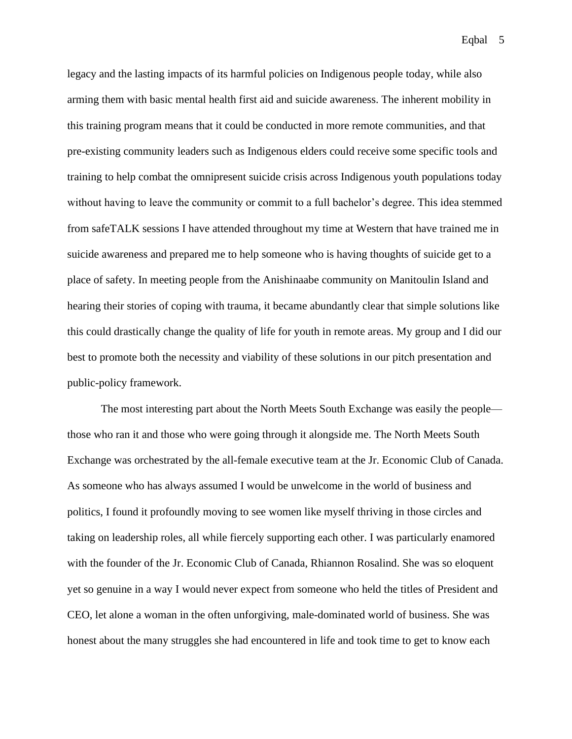legacy and the lasting impacts of its harmful policies on Indigenous people today, while also arming them with basic mental health first aid and suicide awareness. The inherent mobility in this training program means that it could be conducted in more remote communities, and that pre-existing community leaders such as Indigenous elders could receive some specific tools and training to help combat the omnipresent suicide crisis across Indigenous youth populations today without having to leave the community or commit to a full bachelor's degree. This idea stemmed from safeTALK sessions I have attended throughout my time at Western that have trained me in suicide awareness and prepared me to help someone who is having thoughts of suicide get to a place of safety. In meeting people from the Anishinaabe community on Manitoulin Island and hearing their stories of coping with trauma, it became abundantly clear that simple solutions like this could drastically change the quality of life for youth in remote areas. My group and I did our best to promote both the necessity and viability of these solutions in our pitch presentation and public-policy framework.

The most interesting part about the North Meets South Exchange was easily the people those who ran it and those who were going through it alongside me. The North Meets South Exchange was orchestrated by the all-female executive team at the Jr. Economic Club of Canada. As someone who has always assumed I would be unwelcome in the world of business and politics, I found it profoundly moving to see women like myself thriving in those circles and taking on leadership roles, all while fiercely supporting each other. I was particularly enamored with the founder of the Jr. Economic Club of Canada, Rhiannon Rosalind. She was so eloquent yet so genuine in a way I would never expect from someone who held the titles of President and CEO, let alone a woman in the often unforgiving, male-dominated world of business. She was honest about the many struggles she had encountered in life and took time to get to know each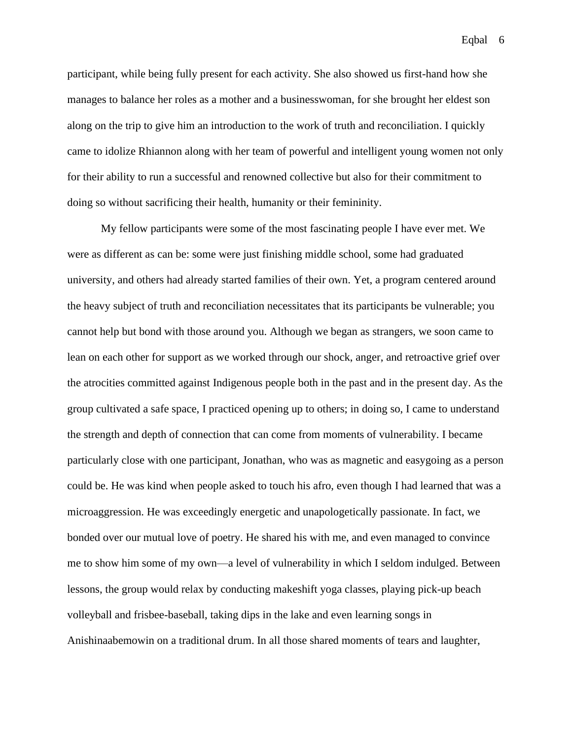participant, while being fully present for each activity. She also showed us first-hand how she manages to balance her roles as a mother and a businesswoman, for she brought her eldest son along on the trip to give him an introduction to the work of truth and reconciliation. I quickly came to idolize Rhiannon along with her team of powerful and intelligent young women not only for their ability to run a successful and renowned collective but also for their commitment to doing so without sacrificing their health, humanity or their femininity.

My fellow participants were some of the most fascinating people I have ever met. We were as different as can be: some were just finishing middle school, some had graduated university, and others had already started families of their own. Yet, a program centered around the heavy subject of truth and reconciliation necessitates that its participants be vulnerable; you cannot help but bond with those around you. Although we began as strangers, we soon came to lean on each other for support as we worked through our shock, anger, and retroactive grief over the atrocities committed against Indigenous people both in the past and in the present day. As the group cultivated a safe space, I practiced opening up to others; in doing so, I came to understand the strength and depth of connection that can come from moments of vulnerability. I became particularly close with one participant, Jonathan, who was as magnetic and easygoing as a person could be. He was kind when people asked to touch his afro, even though I had learned that was a microaggression. He was exceedingly energetic and unapologetically passionate. In fact, we bonded over our mutual love of poetry. He shared his with me, and even managed to convince me to show him some of my own—a level of vulnerability in which I seldom indulged. Between lessons, the group would relax by conducting makeshift yoga classes, playing pick-up beach volleyball and frisbee-baseball, taking dips in the lake and even learning songs in Anishinaabemowin on a traditional drum. In all those shared moments of tears and laughter,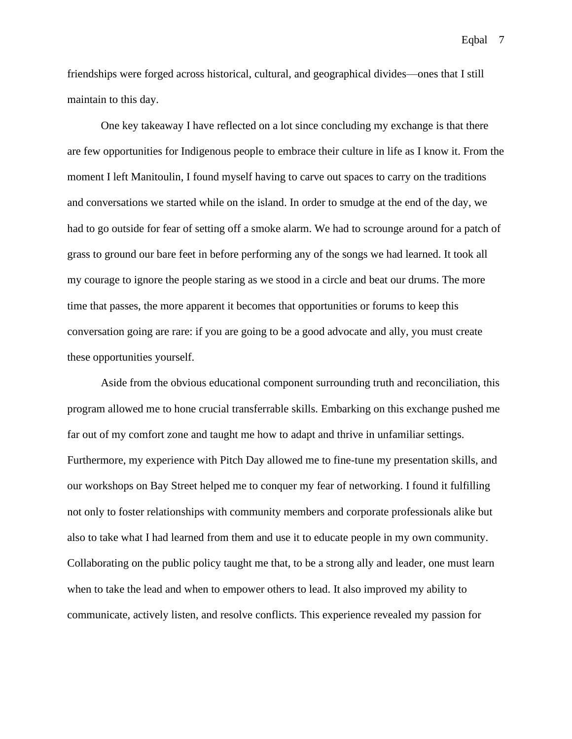friendships were forged across historical, cultural, and geographical divides—ones that I still maintain to this day.

One key takeaway I have reflected on a lot since concluding my exchange is that there are few opportunities for Indigenous people to embrace their culture in life as I know it. From the moment I left Manitoulin, I found myself having to carve out spaces to carry on the traditions and conversations we started while on the island. In order to smudge at the end of the day, we had to go outside for fear of setting off a smoke alarm. We had to scrounge around for a patch of grass to ground our bare feet in before performing any of the songs we had learned. It took all my courage to ignore the people staring as we stood in a circle and beat our drums. The more time that passes, the more apparent it becomes that opportunities or forums to keep this conversation going are rare: if you are going to be a good advocate and ally, you must create these opportunities yourself.

Aside from the obvious educational component surrounding truth and reconciliation, this program allowed me to hone crucial transferrable skills. Embarking on this exchange pushed me far out of my comfort zone and taught me how to adapt and thrive in unfamiliar settings. Furthermore, my experience with Pitch Day allowed me to fine-tune my presentation skills, and our workshops on Bay Street helped me to conquer my fear of networking. I found it fulfilling not only to foster relationships with community members and corporate professionals alike but also to take what I had learned from them and use it to educate people in my own community. Collaborating on the public policy taught me that, to be a strong ally and leader, one must learn when to take the lead and when to empower others to lead. It also improved my ability to communicate, actively listen, and resolve conflicts. This experience revealed my passion for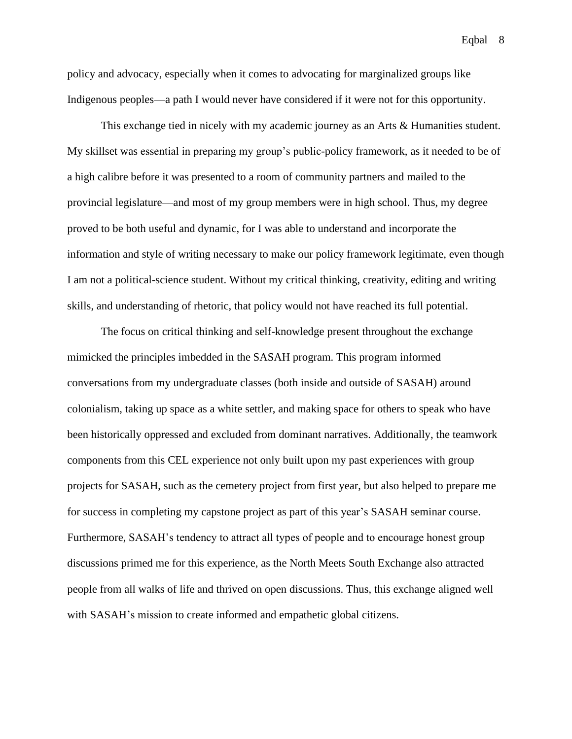policy and advocacy, especially when it comes to advocating for marginalized groups like Indigenous peoples—a path I would never have considered if it were not for this opportunity.

This exchange tied in nicely with my academic journey as an Arts & Humanities student. My skillset was essential in preparing my group's public-policy framework, as it needed to be of a high calibre before it was presented to a room of community partners and mailed to the provincial legislature—and most of my group members were in high school. Thus, my degree proved to be both useful and dynamic, for I was able to understand and incorporate the information and style of writing necessary to make our policy framework legitimate, even though I am not a political-science student. Without my critical thinking, creativity, editing and writing skills, and understanding of rhetoric, that policy would not have reached its full potential.

The focus on critical thinking and self-knowledge present throughout the exchange mimicked the principles imbedded in the SASAH program. This program informed conversations from my undergraduate classes (both inside and outside of SASAH) around colonialism, taking up space as a white settler, and making space for others to speak who have been historically oppressed and excluded from dominant narratives. Additionally, the teamwork components from this CEL experience not only built upon my past experiences with group projects for SASAH, such as the cemetery project from first year, but also helped to prepare me for success in completing my capstone project as part of this year's SASAH seminar course. Furthermore, SASAH's tendency to attract all types of people and to encourage honest group discussions primed me for this experience, as the North Meets South Exchange also attracted people from all walks of life and thrived on open discussions. Thus, this exchange aligned well with SASAH's mission to create informed and empathetic global citizens.

Eqbal 8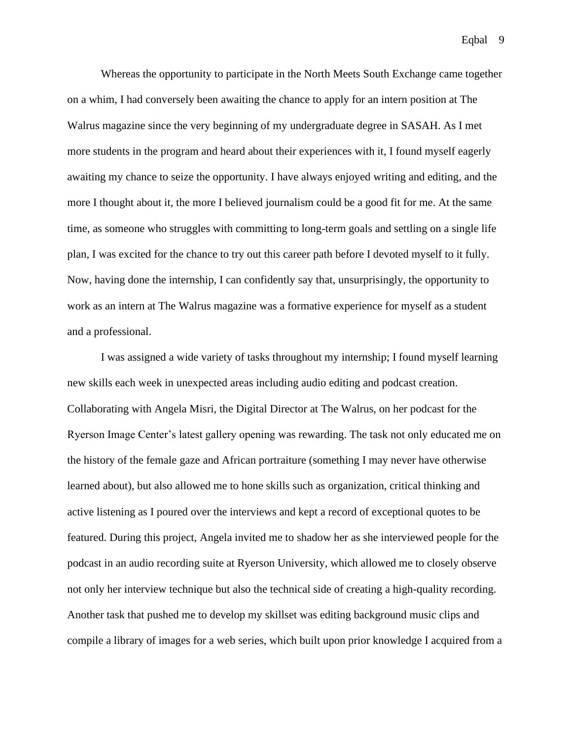Whereas the opportunity to participate in the North Meets South Exchange came together on a whim, I had conversely been awaiting the chance to apply for an intern position at The Walrus magazine since the very beginning of my undergraduate degree in SASAH. As I met more students in the program and heard about their experiences with it, I found myself eagerly awaiting my chance to seize the opportunity. I have always enjoyed writing and editing, and the more I thought about it, the more I believed journalism could be a good fit for me. At the same time, as someone who struggles with committing to long-term goals and settling on a single life plan, I was excited for the chance to try out this career path before I devoted myself to it fully. Now, having done the internship, I can confidently say that, unsurprisingly, the opportunity to work as an intern at The Walrus magazine was a formative experience for myself as a student and a professional.

I was assigned a wide variety of tasks throughout my internship; I found myself learning new skills each week in unexpected areas including audio editing and podcast creation. Collaborating with Angela Misri, the Digital Director at The Walrus, on her podcast for the Ryerson Image Center's latest gallery opening was rewarding. The task not only educated me on the history of the female gaze and African portraiture (something I may never have otherwise learned about), but also allowed me to hone skills such as organization, critical thinking and active listening as I poured over the interviews and kept a record of exceptional quotes to be featured. During this project, Angela invited me to shadow her as she interviewed people for the podcast in an audio recording suite at Ryerson University, which allowed me to closely observe not only her interview technique but also the technical side of creating a high-quality recording. Another task that pushed me to develop my skillset was editing background music clips and compile a library of images for a web series, which built upon prior knowledge I acquired from a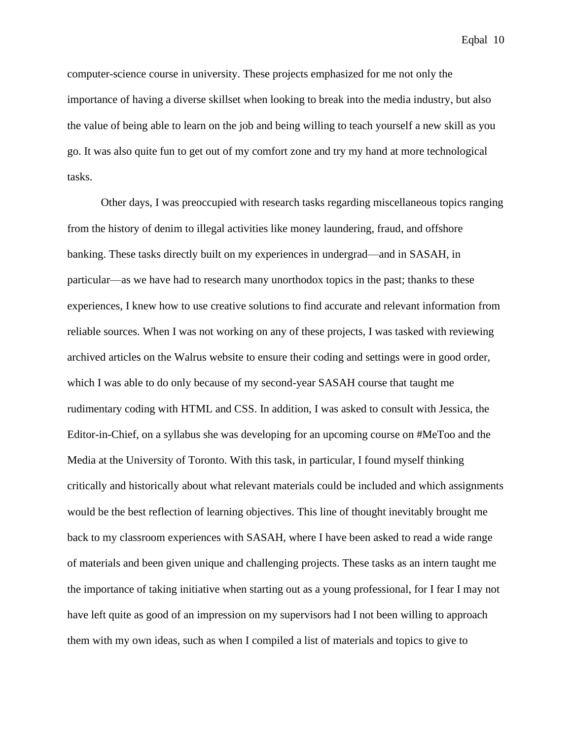computer-science course in university. These projects emphasized for me not only the importance of having a diverse skillset when looking to break into the media industry, but also the value of being able to learn on the job and being willing to teach yourself a new skill as you go. It was also quite fun to get out of my comfort zone and try my hand at more technological tasks.

Other days, I was preoccupied with research tasks regarding miscellaneous topics ranging from the history of denim to illegal activities like money laundering, fraud, and offshore banking. These tasks directly built on my experiences in undergrad—and in SASAH, in particular—as we have had to research many unorthodox topics in the past; thanks to these experiences, I knew how to use creative solutions to find accurate and relevant information from reliable sources. When I was not working on any of these projects, I was tasked with reviewing archived articles on the Walrus website to ensure their coding and settings were in good order, which I was able to do only because of my second-year SASAH course that taught me rudimentary coding with HTML and CSS. In addition, I was asked to consult with Jessica, the Editor-in-Chief, on a syllabus she was developing for an upcoming course on #MeToo and the Media at the University of Toronto. With this task, in particular, I found myself thinking critically and historically about what relevant materials could be included and which assignments would be the best reflection of learning objectives. This line of thought inevitably brought me back to my classroom experiences with SASAH, where I have been asked to read a wide range of materials and been given unique and challenging projects. These tasks as an intern taught me the importance of taking initiative when starting out as a young professional, for I fear I may not have left quite as good of an impression on my supervisors had I not been willing to approach them with my own ideas, such as when I compiled a list of materials and topics to give to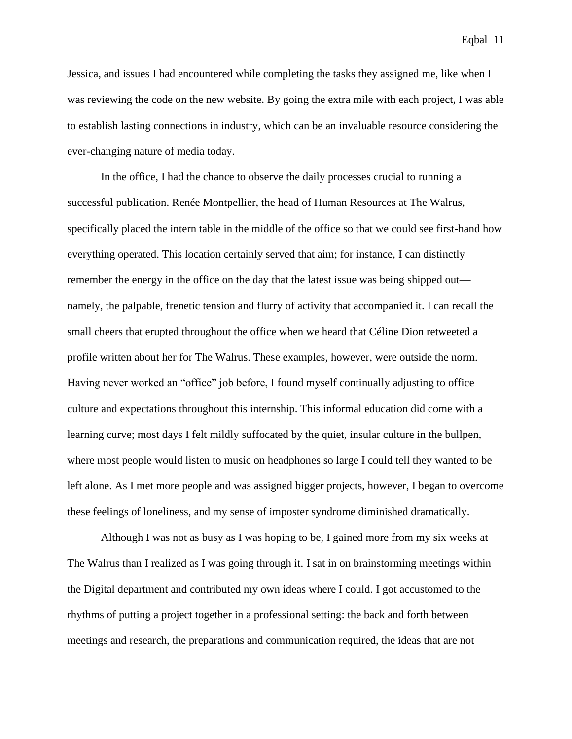Jessica, and issues I had encountered while completing the tasks they assigned me, like when I was reviewing the code on the new website. By going the extra mile with each project, I was able to establish lasting connections in industry, which can be an invaluable resource considering the ever-changing nature of media today.

In the office, I had the chance to observe the daily processes crucial to running a successful publication. Renée Montpellier, the head of Human Resources at The Walrus, specifically placed the intern table in the middle of the office so that we could see first-hand how everything operated. This location certainly served that aim; for instance, I can distinctly remember the energy in the office on the day that the latest issue was being shipped out namely, the palpable, frenetic tension and flurry of activity that accompanied it. I can recall the small cheers that erupted throughout the office when we heard that Céline Dion retweeted a profile written about her for The Walrus. These examples, however, were outside the norm. Having never worked an "office" job before, I found myself continually adjusting to office culture and expectations throughout this internship. This informal education did come with a learning curve; most days I felt mildly suffocated by the quiet, insular culture in the bullpen, where most people would listen to music on headphones so large I could tell they wanted to be left alone. As I met more people and was assigned bigger projects, however, I began to overcome these feelings of loneliness, and my sense of imposter syndrome diminished dramatically.

Although I was not as busy as I was hoping to be, I gained more from my six weeks at The Walrus than I realized as I was going through it. I sat in on brainstorming meetings within the Digital department and contributed my own ideas where I could. I got accustomed to the rhythms of putting a project together in a professional setting: the back and forth between meetings and research, the preparations and communication required, the ideas that are not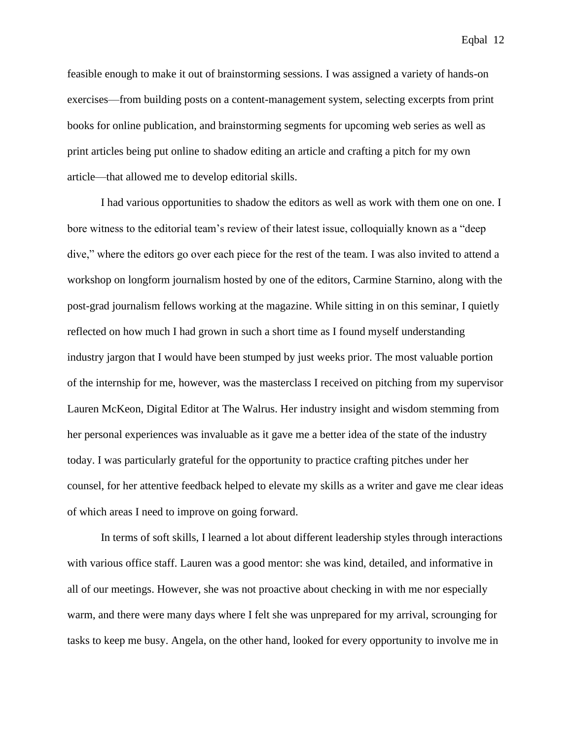feasible enough to make it out of brainstorming sessions. I was assigned a variety of hands-on exercises—from building posts on a content-management system, selecting excerpts from print books for online publication, and brainstorming segments for upcoming web series as well as print articles being put online to shadow editing an article and crafting a pitch for my own article—that allowed me to develop editorial skills.

I had various opportunities to shadow the editors as well as work with them one on one. I bore witness to the editorial team's review of their latest issue, colloquially known as a "deep dive," where the editors go over each piece for the rest of the team. I was also invited to attend a workshop on longform journalism hosted by one of the editors, Carmine Starnino, along with the post-grad journalism fellows working at the magazine. While sitting in on this seminar, I quietly reflected on how much I had grown in such a short time as I found myself understanding industry jargon that I would have been stumped by just weeks prior. The most valuable portion of the internship for me, however, was the masterclass I received on pitching from my supervisor Lauren McKeon, Digital Editor at The Walrus. Her industry insight and wisdom stemming from her personal experiences was invaluable as it gave me a better idea of the state of the industry today. I was particularly grateful for the opportunity to practice crafting pitches under her counsel, for her attentive feedback helped to elevate my skills as a writer and gave me clear ideas of which areas I need to improve on going forward.

In terms of soft skills, I learned a lot about different leadership styles through interactions with various office staff. Lauren was a good mentor: she was kind, detailed, and informative in all of our meetings. However, she was not proactive about checking in with me nor especially warm, and there were many days where I felt she was unprepared for my arrival, scrounging for tasks to keep me busy. Angela, on the other hand, looked for every opportunity to involve me in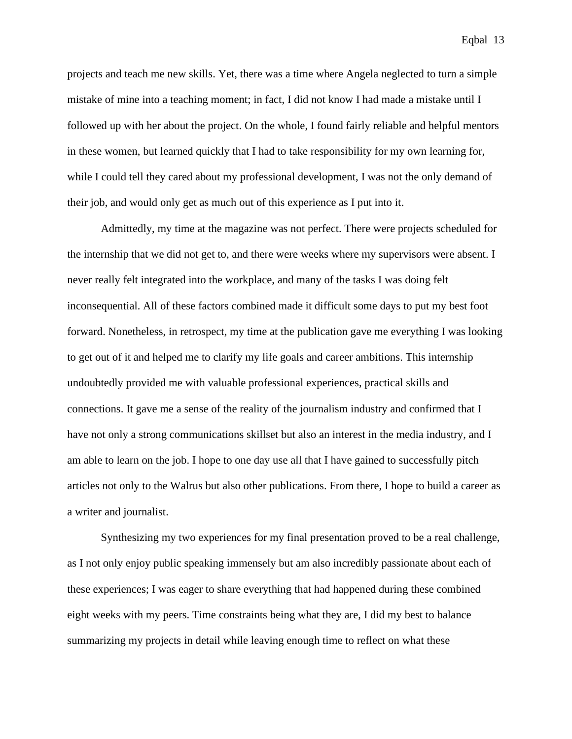projects and teach me new skills. Yet, there was a time where Angela neglected to turn a simple mistake of mine into a teaching moment; in fact, I did not know I had made a mistake until I followed up with her about the project. On the whole, I found fairly reliable and helpful mentors in these women, but learned quickly that I had to take responsibility for my own learning for, while I could tell they cared about my professional development, I was not the only demand of their job, and would only get as much out of this experience as I put into it.

Admittedly, my time at the magazine was not perfect. There were projects scheduled for the internship that we did not get to, and there were weeks where my supervisors were absent. I never really felt integrated into the workplace, and many of the tasks I was doing felt inconsequential. All of these factors combined made it difficult some days to put my best foot forward. Nonetheless, in retrospect, my time at the publication gave me everything I was looking to get out of it and helped me to clarify my life goals and career ambitions. This internship undoubtedly provided me with valuable professional experiences, practical skills and connections. It gave me a sense of the reality of the journalism industry and confirmed that I have not only a strong communications skillset but also an interest in the media industry, and I am able to learn on the job. I hope to one day use all that I have gained to successfully pitch articles not only to the Walrus but also other publications. From there, I hope to build a career as a writer and journalist.

Synthesizing my two experiences for my final presentation proved to be a real challenge, as I not only enjoy public speaking immensely but am also incredibly passionate about each of these experiences; I was eager to share everything that had happened during these combined eight weeks with my peers. Time constraints being what they are, I did my best to balance summarizing my projects in detail while leaving enough time to reflect on what these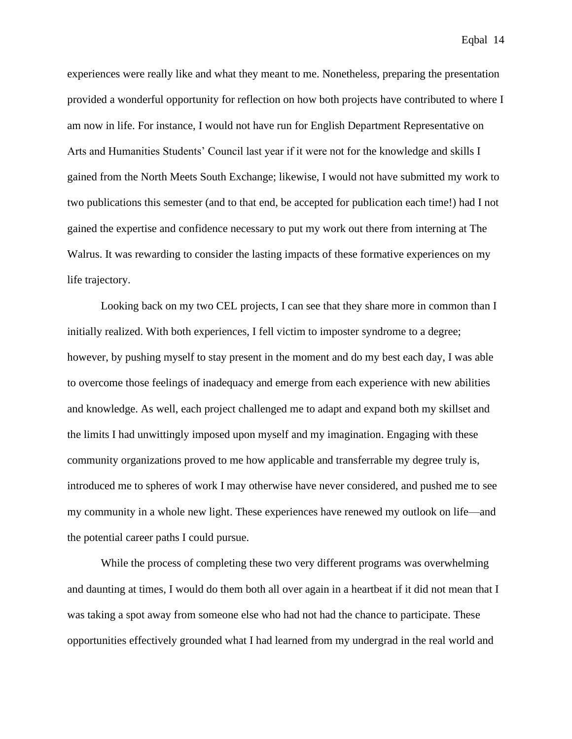experiences were really like and what they meant to me. Nonetheless, preparing the presentation provided a wonderful opportunity for reflection on how both projects have contributed to where I am now in life. For instance, I would not have run for English Department Representative on Arts and Humanities Students' Council last year if it were not for the knowledge and skills I gained from the North Meets South Exchange; likewise, I would not have submitted my work to two publications this semester (and to that end, be accepted for publication each time!) had I not gained the expertise and confidence necessary to put my work out there from interning at The Walrus. It was rewarding to consider the lasting impacts of these formative experiences on my life trajectory.

Looking back on my two CEL projects, I can see that they share more in common than I initially realized. With both experiences, I fell victim to imposter syndrome to a degree; however, by pushing myself to stay present in the moment and do my best each day, I was able to overcome those feelings of inadequacy and emerge from each experience with new abilities and knowledge. As well, each project challenged me to adapt and expand both my skillset and the limits I had unwittingly imposed upon myself and my imagination. Engaging with these community organizations proved to me how applicable and transferrable my degree truly is, introduced me to spheres of work I may otherwise have never considered, and pushed me to see my community in a whole new light. These experiences have renewed my outlook on life—and the potential career paths I could pursue.

While the process of completing these two very different programs was overwhelming and daunting at times, I would do them both all over again in a heartbeat if it did not mean that I was taking a spot away from someone else who had not had the chance to participate. These opportunities effectively grounded what I had learned from my undergrad in the real world and